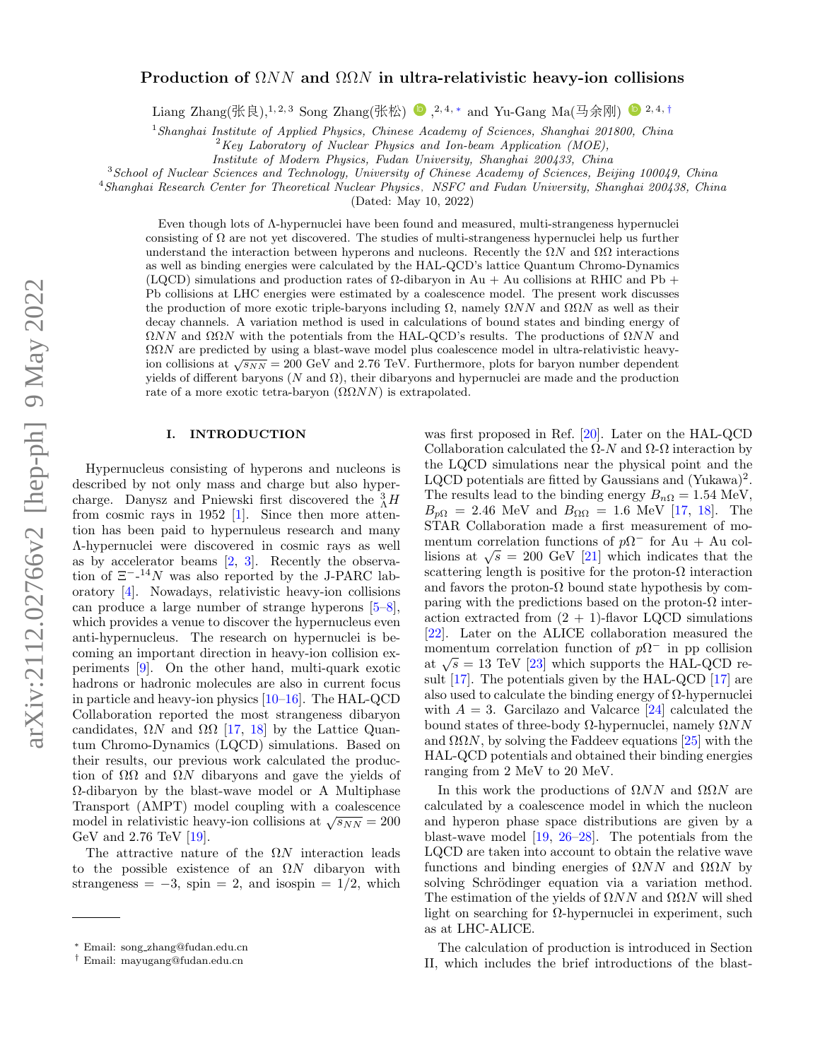# arXiv:2112.02766v2 [hep-ph] 9 May 2022 arXiv:2112.02766v2 [hep-ph] 9 May 2022

# Production of  $\Omega NN$  and  $\Omega\Omega N$  in ultra-relativistic heavy-ion collisions

Liang Zhang(张良),<sup>1, 2, 3</sup> Song Zhang(张松) <sup>●</sup>,<sup>2, 4, \*</sup> and Yu-Gang Ma(马余刚) <sup>●</sup><sup>2, 4, [†](#page-0-1)</sup>

<sup>1</sup> Shanghai Institute of Applied Physics, Chinese Academy of Sciences, Shanghai 201800, China

 $2Key$  Laboratory of Nuclear Physics and Ion-beam Application (MOE),

Institute of Modern Physics, Fudan University, Shanghai 200433, China

<sup>3</sup>School of Nuclear Sciences and Technology, University of Chinese Academy of Sciences, Beijing 100049, China

 $4$ Shanghai Research Center for Theoretical Nuclear Physics, NSFC and Fudan University, Shanghai 200438, China

(Dated: May 10, 2022)

Even though lots of Λ-hypernuclei have been found and measured, multi-strangeness hypernuclei consisting of  $\Omega$  are not yet discovered. The studies of multi-strangeness hypernuclei help us further understand the interaction between hyperons and nucleons. Recently the  $\Omega N$  and  $\Omega\Omega$  interactions as well as binding energies were calculated by the HAL-QCD's lattice Quantum Chromo-Dynamics (LQCD) simulations and production rates of  $\Omega$ -dibaryon in Au + Au collisions at RHIC and Pb + Pb collisions at LHC energies were estimated by a coalescence model. The present work discusses the production of more exotic triple-baryons including  $\Omega$ , namely  $\Omega NN$  and  $\Omega\Omega N$  as well as their decay channels. A variation method is used in calculations of bound states and binding energy of  $\Omega NN$  and  $\Omega\Omega N$  with the potentials from the HAL-QCD's results. The productions of  $\Omega NN$  and  $\Omega \Omega N$  are predicted by using a blast-wave model plus coalescence model in ultra-relativistic heavy- $\frac{1}{100}$  and  $\frac{1}{100}$  is the predicted by using a blast-wave model plus coalescence model in unital-relativistic neavy-<br>ion collisions at  $\sqrt{s_{NN}} = 200$  GeV and 2.76 TeV. Furthermore, plots for baryon number dependen yields of different baryons (N and Ω), their dibaryons and hypernuclei are made and the production rate of a more exotic tetra-baryon  $(\Omega \Omega NN)$  is extrapolated.

# I. INTRODUCTION

Hypernucleus consisting of hyperons and nucleons is described by not only mass and charge but also hypercharge. Danysz and Pniewski first discovered the  $^{3}_{\Lambda}H$ from cosmic rays in 1952 [\[1\]](#page-8-0). Since then more attention has been paid to hypernuleus research and many Λ-hypernuclei were discovered in cosmic rays as well as by accelerator beams [\[2,](#page-8-1) [3\]](#page-8-2). Recently the observation of  $\Xi^{-14}N$  was also reported by the J-PARC laboratory [\[4\]](#page-8-3). Nowadays, relativistic heavy-ion collisions can produce a large number of strange hyperons [\[5–](#page-8-4)[8\]](#page-8-5), which provides a venue to discover the hypernucleus even anti-hypernucleus. The research on hypernuclei is becoming an important direction in heavy-ion collision experiments [\[9\]](#page-8-6). On the other hand, multi-quark exotic hadrons or hadronic molecules are also in current focus in particle and heavy-ion physics  $[10-16]$  $[10-16]$ . The HAL-QCD Collaboration reported the most strangeness dibaryon candidates,  $\Omega N$  and  $\Omega \Omega$  [\[17,](#page-8-9) [18\]](#page-8-10) by the Lattice Quantum Chromo-Dynamics (LQCD) simulations. Based on their results, our previous work calculated the production of  $\Omega\Omega$  and  $\Omega N$  dibaryons and gave the yields of Ω-dibaryon by the blast-wave model or A Multiphase Transport (AMPT) model coupling with a coalescence malleport (AMI 1) model coupling with a coalescence model in relativistic heavy-ion collisions at  $\sqrt{s_{NN}} = 200$ GeV and 2.76 TeV [\[19\]](#page-8-11).

The attractive nature of the  $\Omega N$  interaction leads to the possible existence of an  $\Omega N$  dibaryon with strangeness =  $-3$ , spin = 2, and isospin =  $1/2$ , which

was first proposed in Ref. [\[20\]](#page-8-12). Later on the HAL-QCD Collaboration calculated the  $\Omega$ -N and  $\Omega$ - $\Omega$  interaction by the LQCD simulations near the physical point and the LQCD potentials are fitted by Gaussians and  $(Yukawa)^2$ . The results lead to the binding energy  $B_{n\Omega} = 1.54 \text{ MeV}$ ,  $B_{p\Omega} = 2.46 \text{ MeV}$  and  $B_{\Omega\Omega} = 1.6 \text{ MeV}$  [\[17,](#page-8-9) [18\]](#page-8-10). The STAR Collaboration made a first measurement of momentum correlation functions of  $p\Omega^-$  for Au + Au colmentum correlation functions of  $p_2$  for  $Au + Au$  collisions at  $\sqrt{s} = 200$  GeV [\[21\]](#page-8-13) which indicates that the scattering length is positive for the proton- $\Omega$  interaction and favors the proton- $\Omega$  bound state hypothesis by comparing with the predictions based on the proton- $\Omega$  interaction extracted from  $(2 + 1)$ -flavor LQCD simulations [\[22\]](#page-8-14). Later on the ALICE collaboration measured the momentum correlation function of  $p\Omega^-$  in pp collision momentum correlation function of  $p\Omega$  in pp consion<br>at  $\sqrt{s} = 13$  TeV [\[23\]](#page-8-15) which supports the HAL-QCD result  $[17]$ . The potentials given by the HAL-QCD  $[17]$  are also used to calculate the binding energy of  $\Omega$ -hypernuclei with  $A = 3$ . Garcilazo and Valcarce [\[24\]](#page-8-16) calculated the bound states of three-body  $Ω$ -hypernuclei, namely  $ΩNN$ and  $\Omega \Omega N$ , by solving the Faddeev equations [\[25\]](#page-8-17) with the HAL-QCD potentials and obtained their binding energies ranging from 2 MeV to 20 MeV.

In this work the productions of  $\Omega NN$  and  $\Omega\Omega N$  are calculated by a coalescence model in which the nucleon and hyperon phase space distributions are given by a blast-wave model [\[19,](#page-8-11) [26](#page-8-18)[–28\]](#page-8-19). The potentials from the LQCD are taken into account to obtain the relative wave functions and binding energies of  $\Omega NN$  and  $\Omega\Omega N$  by solving Schrödinger equation via a variation method. The estimation of the yields of  $\Omega NN$  and  $\Omega\Omega N$  will shed light on searching for  $\Omega$ -hypernuclei in experiment, such as at LHC-ALICE.

The calculation of production is introduced in Section II, which includes the brief introductions of the blast-

<span id="page-0-0"></span><sup>∗</sup> Email: song zhang@fudan.edu.cn

<span id="page-0-1"></span><sup>†</sup> Email: mayugang@fudan.edu.cn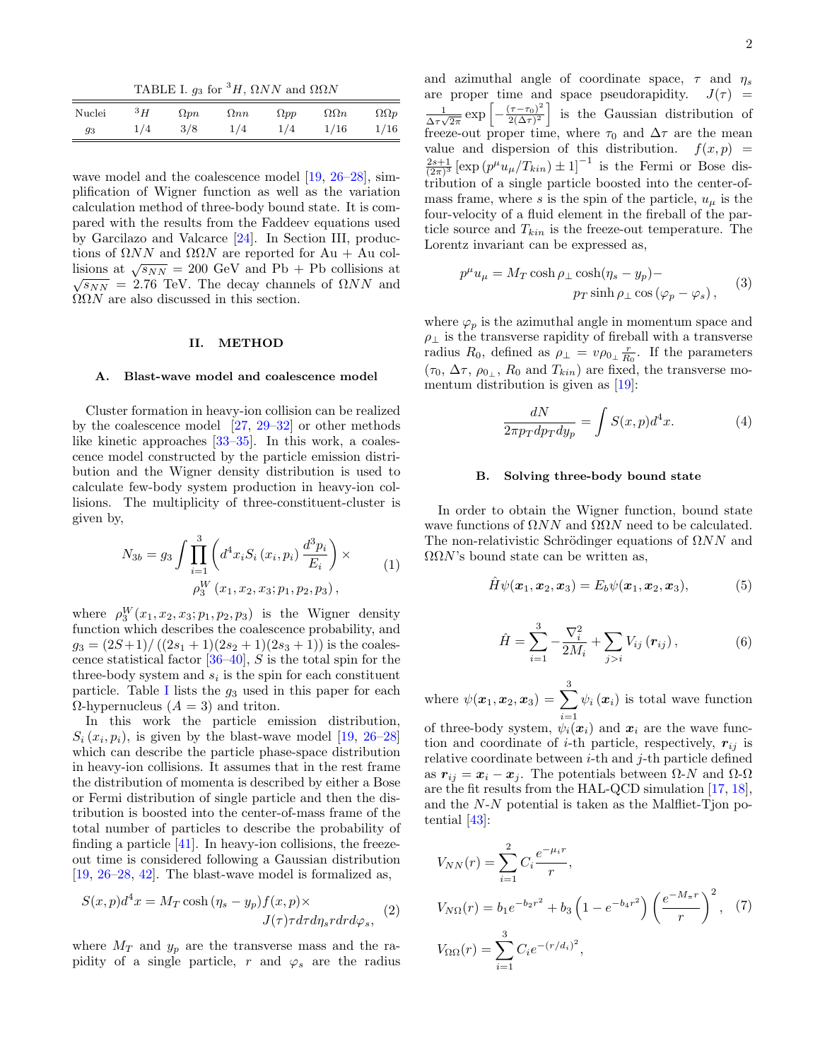<span id="page-1-0"></span>TABLE I.  $g_3$  for <sup>3</sup>H,  $\Omega NN$  and  $\Omega\Omega N$ 

| Nuclei | ${}^3H$ | $\Omega pn$ | $\Omega$ nn | $\Omega pp$ | $\Omega\Omega n$ | $\Omega \Omega p$ |
|--------|---------|-------------|-------------|-------------|------------------|-------------------|
| 93     | 1/4     | 3/8         | 1/4         | 1/4         | 1/16             | 1/16              |

wave model and the coalescence model [\[19,](#page-8-11) [26–](#page-8-18)[28\]](#page-8-19), simplification of Wigner function as well as the variation calculation method of three-body bound state. It is compared with the results from the Faddeev equations used by Garcilazo and Valcarce [\[24\]](#page-8-16). In Section III, productions of  $\Omega NN$  and  $\Omega\Omega N$  are reported for Au + Au collisions at  $\sqrt{s_{NN}} = 200$  GeV and Pb + Pb collisions at  $\sqrt{s_{NN}}$  = 2.76 TeV. The decay channels of  $\Omega NN$  and  $\Omega \Omega N$  are also discussed in this section.

### II. METHOD

### A. Blast-wave model and coalescence model

Cluster formation in heavy-ion collision can be realized by the coalescence model  $[27, 29-32]$  $[27, 29-32]$  or other methods like kinetic approaches [\[33](#page-9-1)[–35\]](#page-9-2). In this work, a coalescence model constructed by the particle emission distribution and the Wigner density distribution is used to calculate few-body system production in heavy-ion collisions. The multiplicity of three-constituent-cluster is given by,

<span id="page-1-1"></span>
$$
N_{3b} = g_3 \int \prod_{i=1}^{3} \left( d^4 x_i S_i (x_i, p_i) \frac{d^3 p_i}{E_i} \right) \times
$$
  
\n
$$
\rho_3^W (x_1, x_2, x_3; p_1, p_2, p_3),
$$
\n(1)

where  $\rho_3^W(x_1, x_2, x_3; p_1, p_2, p_3)$  is the Wigner density function which describes the coalescence probability, and  $g_3 = (2S+1)/((2s_1+1)(2s_2+1)(2s_3+1))$  is the coalescence statistical factor  $[36-40]$ , S is the total spin for the three-body system and  $s_i$  is the spin for each constituent particle. Table [I](#page-1-0) lists the  $g_3$  used in this paper for each  $\Omega$ -hypernucleus  $(A = 3)$  and triton.

In this work the particle emission distribution,  $S_i(x_i, p_i)$ , is given by the blast-wave model [\[19,](#page-8-11) [26](#page-8-18)[–28\]](#page-8-19) which can describe the particle phase-space distribution in heavy-ion collisions. It assumes that in the rest frame the distribution of momenta is described by either a Bose or Fermi distribution of single particle and then the distribution is boosted into the center-of-mass frame of the total number of particles to describe the probability of finding a particle  $[41]$ . In heavy-ion collisions, the freezeout time is considered following a Gaussian distribution [\[19,](#page-8-11) [26–](#page-8-18)[28,](#page-8-19) [42\]](#page-9-6). The blast-wave model is formalized as,

$$
S(x, p)d^{4}x = M_{T}\cosh(\eta_{s} - y_{p})f(x, p) \times
$$

$$
J(\tau)\tau d\tau d\eta_{s}r dr d\varphi_{s}, \quad (2)
$$

where  $M_T$  and  $y_p$  are the transverse mass and the rapidity of a single particle, r and  $\varphi_s$  are the radius

and azimuthal angle of coordinate space,  $\tau$  and  $\eta_s$ are proper time and space pseudorapidity.  $J(\tau)$  = 1  $\frac{1}{\Delta \tau \sqrt{2\pi}} \exp \left[-\frac{(\tau-\tau_0)^2}{2(\Delta \tau)^2}\right]$  $\left[\frac{(\tau-\tau_0)^2}{2(\Delta\tau)^2}\right]$  is the Gaussian distribution of freeze-out proper time, where  $\tau_0$  and  $\Delta \tau$  are the mean value and dispersion of this distribution.  $f(x, p) =$  $\frac{2s+1}{(2\pi)^3}$  [exp  $(p^{\mu}u_{\mu}/T_{kin}) \pm 1$ ]<sup>-1</sup> is the Fermi or Bose distribution of a single particle boosted into the center-ofmass frame, where s is the spin of the particle,  $u_{\mu}$  is the four-velocity of a fluid element in the fireball of the particle source and  $T_{kin}$  is the freeze-out temperature. The Lorentz invariant can be expressed as,

$$
p^{\mu}u_{\mu} = M_T \cosh \rho_{\perp} \cosh(\eta_s - y_p) -
$$
  
 
$$
p_T \sinh \rho_{\perp} \cos (\varphi_p - \varphi_s) ,
$$
 (3)

where  $\varphi_p$  is the azimuthal angle in momentum space and  $\rho_\perp$  is the transverse rapidity of fireball with a transverse radius  $R_0$ , defined as  $\rho_{\perp} = v \rho_{0_{\perp}} \frac{r}{R_0}$ . If the parameters  $(\tau_0, \Delta \tau, \rho_{0_\perp}, R_0 \text{ and } T_{kin})$  are fixed, the transverse momentum distribution is given as [\[19\]](#page-8-11):

<span id="page-1-2"></span>
$$
\frac{dN}{2\pi p_T dp_T dy_p} = \int S(x, p)d^4x.
$$
 (4)

### B. Solving three-body bound state

In order to obtain the Wigner function, bound state wave functions of  $\Omega NN$  and  $\Omega\Omega N$  need to be calculated. The non-relativistic Schrödinger equations of  $\Omega NN$  and  $ΩΩN$ 's bound state can be written as,

$$
\hat{H}\psi(\boldsymbol{x}_1,\boldsymbol{x}_2,\boldsymbol{x}_3)=E_b\psi(\boldsymbol{x}_1,\boldsymbol{x}_2,\boldsymbol{x}_3),\qquad(5)
$$

$$
\hat{H} = \sum_{i=1}^{3} -\frac{\nabla_i^2}{2M_i} + \sum_{j>i} V_{ij} (\mathbf{r}_{ij}), \qquad (6)
$$

where  $\psi(\boldsymbol{x}_1, \boldsymbol{x}_2, \boldsymbol{x}_3) = \sum_{i=1}^3$  $i=1$  $\psi_i(x_i)$  is total wave function

of three-body system,  $\psi_i(\boldsymbol{x}_i)$  and  $\boldsymbol{x}_i$  are the wave function and coordinate of *i*-th particle, respectively,  $r_{ij}$  is relative coordinate between  $i$ -th and  $j$ -th particle defined as  $r_{ij} = x_i - x_j$ . The potentials between  $\Omega$ -N and  $\Omega$ - $\Omega$ are the fit results from the HAL-QCD simulation [\[17,](#page-8-9) [18\]](#page-8-10), and the N-N potential is taken as the Malfliet-Tjon potential [\[43\]](#page-9-7):

$$
V_{NN}(r) = \sum_{i=1}^{2} C_i \frac{e^{-\mu_i r}}{r},
$$
  
\n
$$
V_{N\Omega}(r) = b_1 e^{-b_2 r^2} + b_3 \left(1 - e^{-b_4 r^2}\right) \left(\frac{e^{-M_\pi r}}{r}\right)^2, (7)
$$
  
\n
$$
V_{\Omega\Omega}(r) = \sum_{i=1}^{3} C_i e^{-(r/d_i)^2},
$$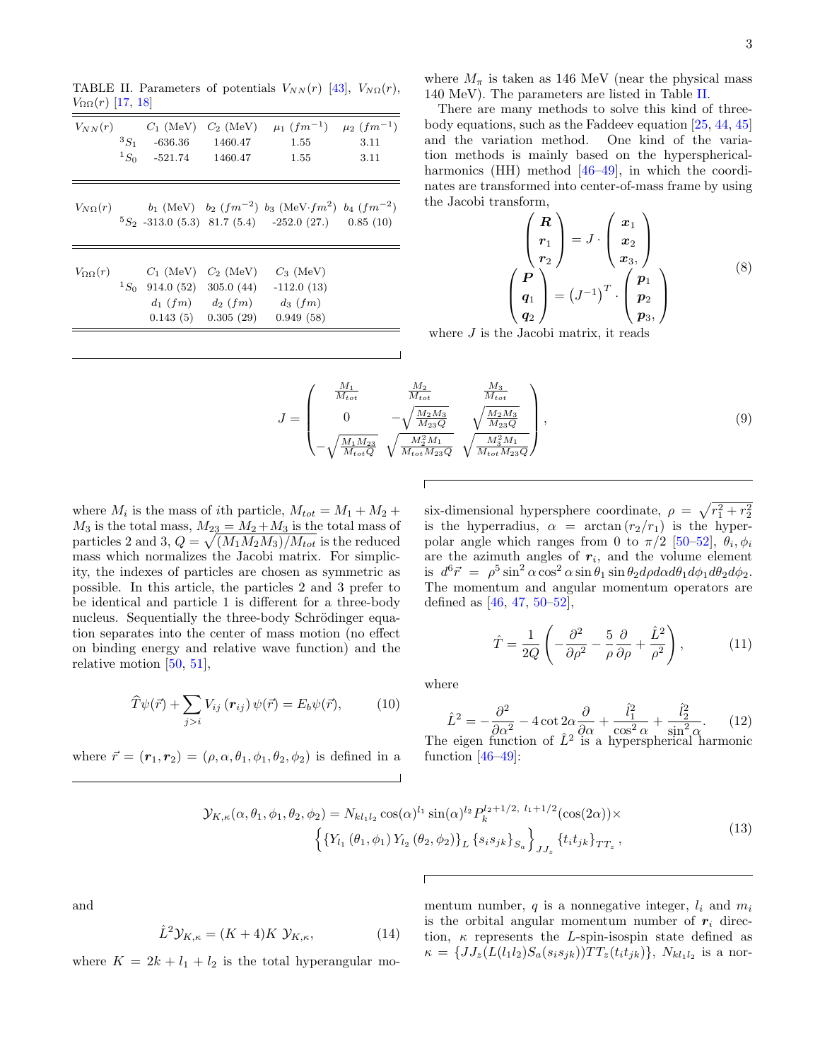<span id="page-2-0"></span>TABLE II. Parameters of potentials  $V_{NN}(r)$  [\[43\]](#page-9-7),  $V_{N\Omega}(r)$ ,  $V_{\Omega\Omega}(r)$  [\[17,](#page-8-9) [18\]](#page-8-10)

|                       |                                     |                         | $V_{NN}(r)$ $C_1$ (MeV) $C_2$ (MeV) $\mu_1$ $(fm^{-1})$ $\mu_2$ $(fm^{-1})$<br>${}^{3}S_{1}$ -636.36 1460.47 1.55 3.11<br>${}^{1}S_{0}$ -521.74 1460.47 1.55 | 3.11 |
|-----------------------|-------------------------------------|-------------------------|--------------------------------------------------------------------------------------------------------------------------------------------------------------|------|
|                       |                                     |                         | $V_{N\Omega}(r)$ $b_1$ (MeV) $b_2$ $(fm^{-2})$ $b_3$ (MeV $\cdot fm^2$ ) $b_4$ $(fm^{-2})$<br>${}^{5}S_{2}$ -313.0 (5.3) 81.7 (5.4) -252.0 (27.) 0.85 (10)   |      |
| $V_{\Omega\Omega}(r)$ | ${}^{1}S_{0}$ 914.0 (52) 305.0 (44) | $C_1$ (MeV) $C_2$ (MeV) | $C_3$ (MeV)<br>$-112.0(13)$<br>$d_1(fm) = d_2(fm) = d_3(fm)$<br>$0.143(5)$ $0.305(29)$ $0.949(58)$                                                           |      |
|                       |                                     |                         |                                                                                                                                                              |      |

where  $M_{\pi}$  is taken as 146 MeV (near the physical mass 140 MeV). The parameters are listed in Table [II.](#page-2-0)

There are many methods to solve this kind of threebody equations, such as the Faddeev equation [\[25,](#page-8-17) [44,](#page-9-8) [45\]](#page-9-9) and the variation method. One kind of the variation methods is mainly based on the hyperspherical-harmonics (HH) method [\[46](#page-9-10)[–49\]](#page-9-11), in which the coordinates are transformed into center-of-mass frame by using the Jacobi transform,

<span id="page-2-1"></span>
$$
\begin{pmatrix}\nR \\
r_1 \\
r_2\n\end{pmatrix} = J \cdot \begin{pmatrix}\nx_1 \\
x_2 \\
x_3\n\end{pmatrix}
$$
\n
$$
\begin{pmatrix}\nP \\
q_1 \\
q_2\n\end{pmatrix} = (J^{-1})^T \cdot \begin{pmatrix}\np_1 \\
p_2 \\
p_3\n\end{pmatrix}
$$
\n(8)

where  $J$  is the Jacobi matrix, it reads

<span id="page-2-2"></span>
$$
J = \begin{pmatrix} \frac{M_1}{M_{tot}} & \frac{M_2}{M_{tot}} & \frac{M_3}{M_{tot}}\\ 0 & -\sqrt{\frac{M_2 M_3}{M_{23} Q}} & \sqrt{\frac{M_2 M_3}{M_{23} Q}}\\ -\sqrt{\frac{M_1 M_{23}}{M_{tot} Q}} & \sqrt{\frac{M_2^2 M_1}{M_{tot} M_{23} Q}} & \sqrt{\frac{M_3^2 M_1}{M_{tot} M_{23} Q}} \end{pmatrix},
$$
\n(9)

where  $M_i$  is the mass of *i*th particle,  $M_{tot} = M_1 + M_2 +$  $M_3$  is the total mass,  $M_{23} = M_2 + M_3$  is the total mass of particles 2 and 3,  $Q = \sqrt{\frac{(M_1 M_2 M_3)}{M_{tot}}}$  is the reduced mass which normalizes the Jacobi matrix. For simplicity, the indexes of particles are chosen as symmetric as possible. In this article, the particles 2 and 3 prefer to be identical and particle 1 is different for a three-body nucleus. Sequentially the three-body Schrödinger equation separates into the center of mass motion (no effect on binding energy and relative wave function) and the relative motion [\[50,](#page-9-12) [51\]](#page-9-13),

$$
\widehat{T}\psi(\vec{r}) + \sum_{j>i} V_{ij} (\mathbf{r}_{ij}) \psi(\vec{r}) = E_b \psi(\vec{r}), \quad (10)
$$

where  $\vec{r} = (\mathbf{r}_1, \mathbf{r}_2) = (\rho, \alpha, \theta_1, \phi_1, \theta_2, \phi_2)$  is defined in a

six-dimensional hypersphere coordinate,  $\rho = \sqrt{r_1^2 + r_2^2}$ is the hyperradius,  $\alpha$  = arctan  $(r_2/r_1)$  is the hyperpolar angle which ranges from 0 to  $\pi/2$  [\[50–](#page-9-12)[52\]](#page-9-14),  $\theta_i, \phi_i$ are the azimuth angles of  $r_i$ , and the volume element is  $d^6 \vec{r} = \rho^5 \sin^2 \alpha \cos^2 \alpha \sin \theta_1 \sin \theta_2 d\rho d\alpha d\theta_1 d\phi_1 d\theta_2 d\phi_2$ . The momentum and angular momentum operators are defined as  $[46, 47, 50-52]$  $[46, 47, 50-52]$  $[46, 47, 50-52]$  $[46, 47, 50-52]$  $[46, 47, 50-52]$ ,

$$
\hat{T} = \frac{1}{2Q} \left( -\frac{\partial^2}{\partial \rho^2} - \frac{5}{\rho} \frac{\partial}{\partial \rho} + \frac{\hat{L}^2}{\rho^2} \right),\tag{11}
$$

where

$$
\hat{L}^2 = -\frac{\partial^2}{\partial \alpha^2} - 4 \cot 2\alpha \frac{\partial}{\partial \alpha} + \frac{\hat{l}_1^2}{\cos^2 \alpha} + \frac{\hat{l}_2^2}{\sin^2 \alpha}.
$$
 (12)  
The eigen function of  $\hat{L}^2$  is a hyperspherical harmonic

function  $[46-49]$  $[46-49]$ :

$$
\mathcal{Y}_{K,\kappa}(\alpha,\theta_1,\phi_1,\theta_2,\phi_2) = N_{kl_1l_2} \cos(\alpha)^{l_1} \sin(\alpha)^{l_2} P_k^{l_2+1/2, l_1+1/2}(\cos(2\alpha)) \times \left\{ \left\{ Y_{l_1}(\theta_1,\phi_1) Y_{l_2}(\theta_2,\phi_2) \right\}_L \left\{ s_i s_{jk} \right\}_{S_a} \right\}_{JJ_z} \left\{ t_i t_{jk} \right\}_{TT_z},
$$
\n(13)

and

$$
\hat{L}^2 \mathcal{Y}_{K,\kappa} = (K+4)K \mathcal{Y}_{K,\kappa},\tag{14}
$$

where  $K = 2k + l_1 + l_2$  is the total hyperangular mo-

mentum number, q is a nonnegative integer,  $l_i$  and  $m_i$ is the orbital angular momentum number of  $r_i$  direction,  $\kappa$  represents the L-spin-isospin state defined as  $\kappa = \{JJ_z(L(l_1l_2)S_a(s_is_{jk}))TT_z(t_it_{jk})\}, N_{kl_1l_2}$  is a nor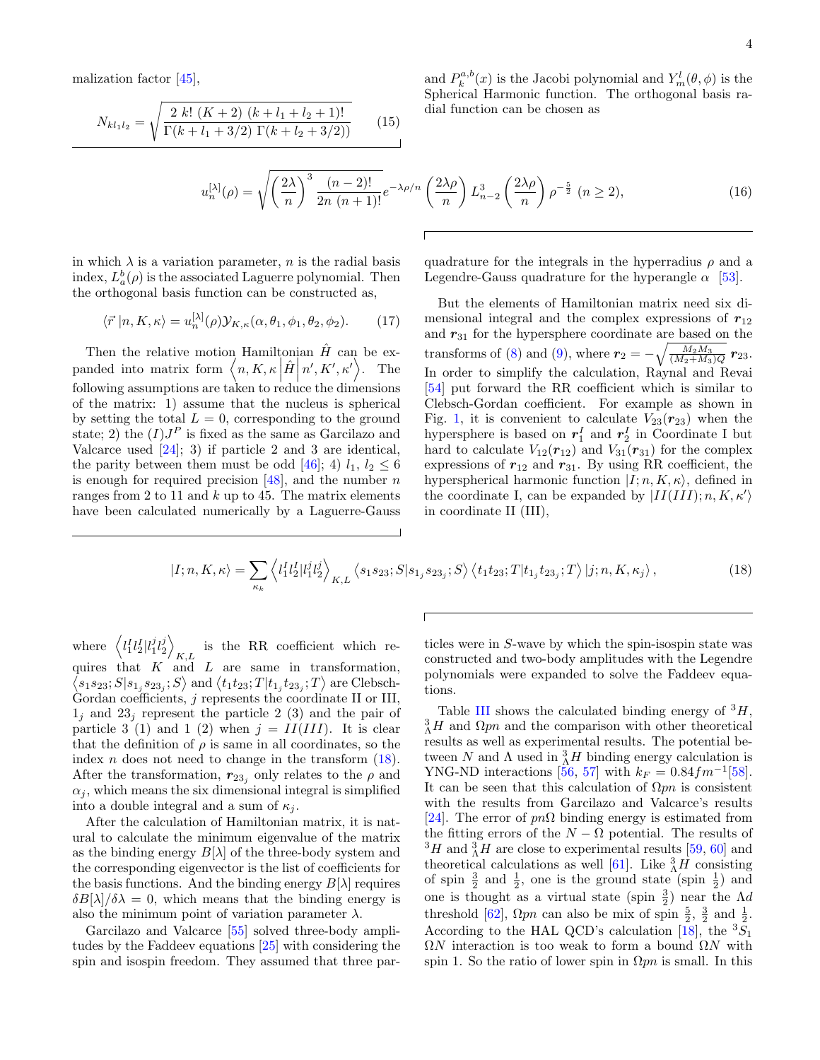malization factor [\[45\]](#page-9-9),

$$
N_{kl_1l_2} = \sqrt{\frac{2 k! (K+2) (k+l_1+l_2+1)!}{\Gamma(k+l_1+3/2) \Gamma(k+l_2+3/2))}}
$$
(15)

and  $P_k^{a,b}(x)$  is the Jacobi polynomial and  $Y_m^l(\theta, \phi)$  is the Spherical Harmonic function. The orthogonal basis radial function can be chosen as

<span id="page-3-1"></span>
$$
u_n^{[\lambda]}(\rho) = \sqrt{\left(\frac{2\lambda}{n}\right)^3 \frac{(n-2)!}{2n(n+1)!}} e^{-\lambda \rho/n} \left(\frac{2\lambda \rho}{n}\right) L_{n-2}^3 \left(\frac{2\lambda \rho}{n}\right) \rho^{-\frac{5}{2}} \ (n \ge 2),\tag{16}
$$

in which  $\lambda$  is a variation parameter, *n* is the radial basis index,  $L_a^b(\rho)$  is the associated Laguerre polynomial. Then the orthogonal basis function can be constructed as,

$$
\langle \vec{r} | n, K, \kappa \rangle = u_n^{[\lambda]}(\rho) \mathcal{Y}_{K,\kappa}(\alpha, \theta_1, \phi_1, \theta_2, \phi_2). \tag{17}
$$

Then the relative motion Hamiltonian  $\hat{H}$  can be expanded into matrix form  $\langle n, K, \kappa | \hat{H} | n', K', \kappa' \rangle$ . The following assumptions are taken to reduce the dimensions of the matrix: 1) assume that the nucleus is spherical by setting the total  $L = 0$ , corresponding to the ground state; 2) the  $(I)J<sup>P</sup>$  is fixed as the same as Garcilazo and Valcarce used  $[24]$ ; 3) if particle 2 and 3 are identical, the parity between them must be odd [\[46\]](#page-9-10); 4)  $l_1, l_2 \leq 6$ is enough for required precision  $[48]$ , and the number n ranges from 2 to 11 and  $k$  up to 45. The matrix elements have been calculated numerically by a Laguerre-Gauss

quadrature for the integrals in the hyperradius  $\rho$  and a Legendre-Gauss quadrature for the hyperangle  $\alpha$  [\[53\]](#page-9-17).

But the elements of Hamiltonian matrix need six dimensional integral and the complex expressions of  $r_{12}$ and  $r_{31}$  for the hypersphere coordinate are based on the transforms of [\(8\)](#page-2-1) and [\(9\)](#page-2-2), where  $r_2 = -\sqrt{\frac{M_2 M_3}{(M_2 + M_3)Q}} r_{23}$ . In order to simplify the calculation, Raynal and Revai [\[54\]](#page-9-18) put forward the RR coefficient which is similar to Clebsch-Gordan coefficient. For example as shown in Fig. [1,](#page-4-0) it is convenient to calculate  $V_{23}(r_{23})$  when the hypersphere is based on  $r_1^I$  and  $r_2^I$  in Coordinate I but hard to calculate  $V_{12}(\mathbf{r}_{12})$  and  $V_{31}(\mathbf{r}_{31})$  for the complex expressions of  $r_{12}$  and  $r_{31}$ . By using RR coefficient, the hyperspherical harmonic function  $|I; n, K, \kappa\rangle$ , defined in the coordinate I, can be expanded by  $|II(III); n, K, \kappa'\rangle$ in coordinate II (III),

<span id="page-3-0"></span>
$$
|I; n, K, \kappa\rangle = \sum_{\kappa_k} \left\langle l_1^I l_2^I |l_1^j l_2^j \right\rangle_{K, L} \left\langle s_1 s_{23}; S | s_{1_j} s_{23_j}; S \right\rangle \left\langle t_1 t_{23}; T | t_{1_j} t_{23_j}; T \right\rangle |j; n, K, \kappa_j\rangle, \tag{18}
$$

where  $\langle l_1^I l_2^I | l_1^j l_2^j \rangle$ is the RR coefficient which re-<br> $K,L$ quires that  $K$  and  $L$  are same in transformation,  $\langle s_1 s_{23}; S | s_{1_j} s_{23_j}; S \rangle$  and  $\langle t_1 t_{23}; T | t_{1_j} t_{23_j}; T \rangle$  are Clebsch-Gordan coefficients,  $j$  represents the coordinate II or III,  $1_j$  and  $23_j$  represent the particle 2 (3) and the pair of particle 3 (1) and 1 (2) when  $j = II(III)$ . It is clear that the definition of  $\rho$  is same in all coordinates, so the index *n* does not need to change in the transform  $(18)$ . After the transformation,  $r_{23}$  only relates to the  $\rho$  and  $\alpha_i$ , which means the six dimensional integral is simplified into a double integral and a sum of  $\kappa_i$ .

After the calculation of Hamiltonian matrix, it is natural to calculate the minimum eigenvalue of the matrix as the binding energy  $B[\lambda]$  of the three-body system and the corresponding eigenvector is the list of coefficients for the basis functions. And the binding energy  $B[\lambda]$  requires  $\delta B[\lambda]/\delta\lambda = 0$ , which means that the binding energy is also the minimum point of variation parameter  $\lambda$ .

Garcilazo and Valcarce [\[55\]](#page-9-19) solved three-body amplitudes by the Faddeev equations [\[25\]](#page-8-17) with considering the spin and isospin freedom. They assumed that three particles were in S-wave by which the spin-isospin state was constructed and two-body amplitudes with the Legendre polynomials were expanded to solve the Faddeev equations.

Table [III](#page-4-1) shows the calculated binding energy of  ${}^{3}H$ ,  ${}^{3}_{\Lambda}H$  and  $\Omega pn$  and the comparison with other theoretical results as well as experimental results. The potential between N and  $\Lambda$  used in  ${}_{\Lambda}^{3}H$  binding energy calculation is YNG-ND interactions [\[56,](#page-9-20) [57\]](#page-9-21) with  $k_F = 0.84 fm^{-1}$  [\[58\]](#page-9-22). It can be seen that this calculation of  $\Omega pn$  is consistent with the results from Garcilazo and Valcarce's results [\[24\]](#page-8-16). The error of  $pn\Omega$  binding energy is estimated from the fitting errors of the  $N - \Omega$  potential. The results of  ${}^{3}H$  and  ${}^{3}_{\Lambda}H$  are close to experimental results [\[59,](#page-9-23) [60\]](#page-9-24) and theoretical calculations as well [\[61\]](#page-9-25). Like  $^{3}_{\Lambda}H$  consisting of spin  $\frac{3}{2}$  and  $\frac{1}{2}$ , one is the ground state (spin  $\frac{1}{2}$ ) and one is thought as a virtual state (spin  $\frac{3}{2}$ ) near the  $\Lambda d$ threshold [\[62\]](#page-9-26),  $\Omega pn$  can also be mix of spin  $\frac{5}{2}$ ,  $\frac{3}{2}$  and  $\frac{1}{2}$ . According to the HAL QCD's calculation [\[18\]](#page-8-10), the  ${}^{3}S_1$  $\Omega N$  interaction is too weak to form a bound  $\Omega N$  with spin 1. So the ratio of lower spin in  $\Omega pn$  is small. In this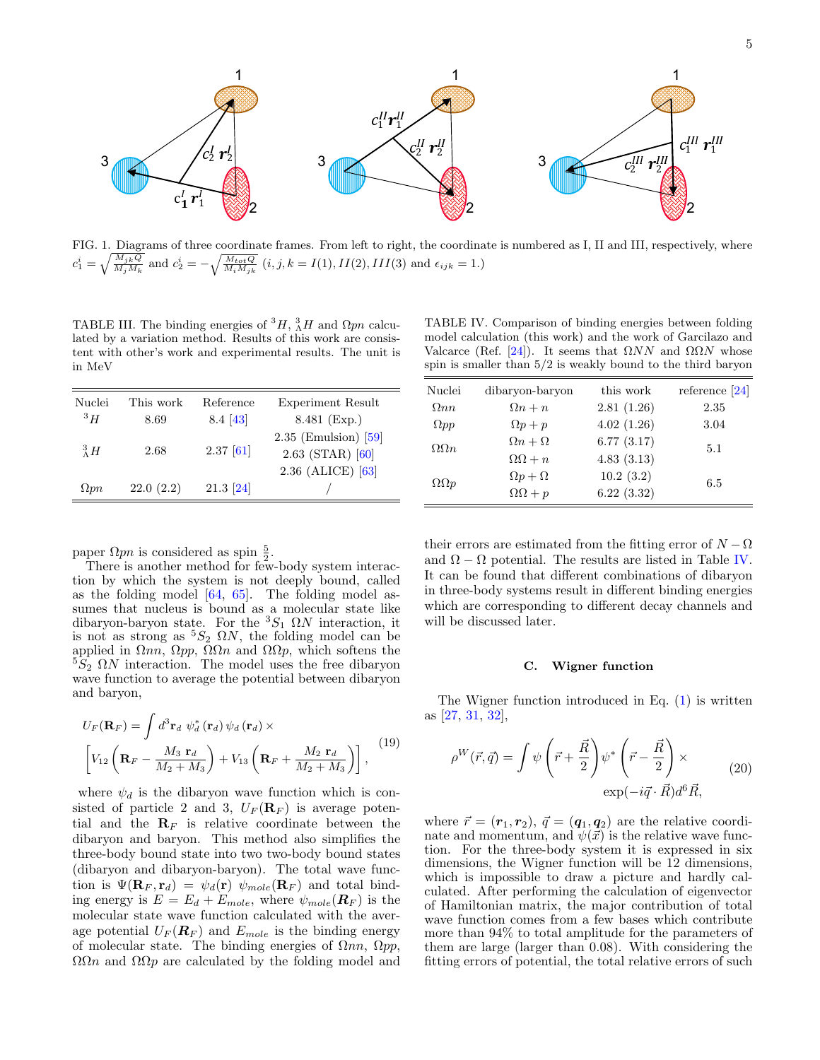

<span id="page-4-0"></span>FIG. 1. Diagrams of three coordinate frames. From left to right, the coordinate is numbered as I, II and III, respectively, where  $c_1^i = \sqrt{\frac{M_{jk}Q}{M_jM_k}}$  and  $c_2^i = -\sqrt{\frac{M_{tot}Q}{M_iM_{jk}}}$   $(i, j, k = I(1), II(2), III(3)$  and  $\epsilon_{ijk} = 1$ .)

<span id="page-4-1"></span>TABLE III. The binding energies of  ${}^{3}H$ ,  ${}^{3}_{\Lambda}H$  and  $\Omega pn$  calculated by a variation method. Results of this work are consistent with other's work and experimental results. The unit is in MeV

| Nuclei         | This work | Reference   | Experiment Result                                                   |
|----------------|-----------|-------------|---------------------------------------------------------------------|
| 3H             | 8.69      | 8.4 [43]    | 8.481 (Exp.)                                                        |
| $\frac{3}{4}H$ | 2.68      | $2.37$ [61] | $2.35$ (Emulsion) [59]<br>$2.63$ (STAR) $[60]$<br>2.36 (ALICE) [63] |
| $\Omega pn$    | 22.0(2.2) | $21.3$ [24] |                                                                     |

paper  $\Omega pn$  is considered as spin  $\frac{5}{2}$ .

There is another method for few-body system interaction by which the system is not deeply bound, called as the folding model [\[64,](#page-9-28) [65\]](#page-9-29). The folding model assumes that nucleus is bound as a molecular state like dibaryon-baryon state. For the  ${}^3S_1$   $\Omega N$  interaction, it is not as strong as  ${}^5S_2$   $\Omega N$ , the folding model can be applied in  $\Omega nn$ ,  $\Omega pn$ ,  $\Omega\Omega n$  and  $\Omega\Omega p$ , which softens the  $5\overline{S}_2$   $\Omega N$  interaction. The model uses the free dibaryon wave function to average the potential between dibaryon and baryon,

$$
U_F(\mathbf{R}_F) = \int d^3 \mathbf{r}_d \ \psi_d^* (\mathbf{r}_d) \psi_d (\mathbf{r}_d) \times \left[ V_{12} \left( \mathbf{R}_F - \frac{M_3 \ \mathbf{r}_d}{M_2 + M_3} \right) + V_{13} \left( \mathbf{R}_F + \frac{M_2 \ \mathbf{r}_d}{M_2 + M_3} \right) \right],
$$
\n(19)

where  $\psi_d$  is the dibaryon wave function which is consisted of particle 2 and 3,  $U_F(\mathbf{R}_F)$  is average potential and the  $\mathbf{R}_F$  is relative coordinate between the dibaryon and baryon. This method also simplifies the three-body bound state into two two-body bound states (dibaryon and dibaryon-baryon). The total wave function is  $\Psi(\mathbf{R}_F, \mathbf{r}_d) = \psi_d(\mathbf{r}) \psi_{mole}(\mathbf{R}_F)$  and total binding energy is  $E = E_d + E_{mole}$ , where  $\psi_{mole}(\mathbf{R}_F)$  is the molecular state wave function calculated with the average potential  $U_F(\boldsymbol{R}_F)$  and  $E_{mole}$  is the binding energy of molecular state. The binding energies of  $\Omega nn, \Omega pp$ ,  $ΩΩn$  and  $ΩΩp$  are calculated by the folding model and

<span id="page-4-2"></span>TABLE IV. Comparison of binding energies between folding model calculation (this work) and the work of Garcilazo and Valcarce (Ref. [\[24\]](#page-8-16)). It seems that  $\Omega NN$  and  $\Omega\Omega N$  whose spin is smaller than 5/2 is weakly bound to the third baryon

| Nuclei            | dibaryon-baryon     | this work  | reference $[24]$ |
|-------------------|---------------------|------------|------------------|
| $\Omega$ nn       | $\Omega n + n$      | 2.81(1.26) | 2.35             |
| $\Omega pp$       | $\Omega p+p$        | 4.02(1.26) | 3.04             |
| $\Omega\Omega n$  | $\Omega n + \Omega$ | 6.77(3.17) | 5.1              |
|                   | $\Omega$ + n        | 4.83(3.13) |                  |
| $\Omega \Omega p$ | $\Omega p + \Omega$ | 10.2(3.2)  | 6.5              |
|                   | $\Omega$ Q + p      | 6.22(3.32) |                  |

their errors are estimated from the fitting error of  $N - \Omega$ and  $\Omega - \Omega$  potential. The results are listed in Table [IV.](#page-4-2) It can be found that different combinations of dibaryon in three-body systems result in different binding energies which are corresponding to different decay channels and will be discussed later.

# C. Wigner function

The Wigner function introduced in Eq. [\(1\)](#page-1-1) is written as [\[27,](#page-8-20) [31,](#page-8-22) [32\]](#page-9-0),

$$
\rho^W(\vec{r}, \vec{q}) = \int \psi \left(\vec{r} + \frac{\vec{R}}{2}\right) \psi^* \left(\vec{r} - \frac{\vec{R}}{2}\right) \times \exp(-i\vec{q} \cdot \vec{R}) d^6 \vec{R}, \tag{20}
$$

where  $\vec{r} = (\mathbf{r}_1, \mathbf{r}_2), \ \vec{q} = (\mathbf{q}_1, \mathbf{q}_2)$  are the relative coordinate and momentum, and  $\psi(\vec{x})$  is the relative wave function. For the three-body system it is expressed in six dimensions, the Wigner function will be 12 dimensions, which is impossible to draw a picture and hardly calculated. After performing the calculation of eigenvector of Hamiltonian matrix, the major contribution of total wave function comes from a few bases which contribute more than 94% to total amplitude for the parameters of them are large (larger than 0.08). With considering the fitting errors of potential, the total relative errors of such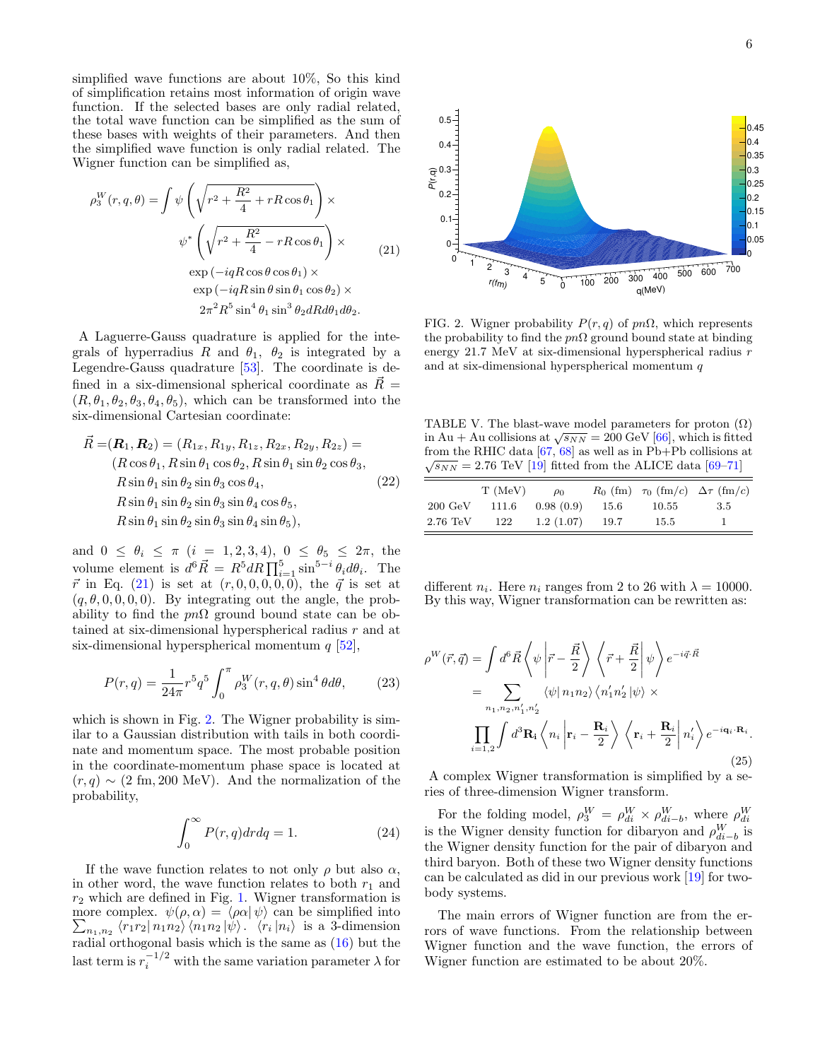simplified wave functions are about 10%, So this kind of simplification retains most information of origin wave function. If the selected bases are only radial related, the total wave function can be simplified as the sum of these bases with weights of their parameters. And then the simplified wave function is only radial related. The Wigner function can be simplified as,

$$
\rho_3^W(r, q, \theta) = \int \psi \left( \sqrt{r^2 + \frac{R^2}{4} + rR \cos \theta_1} \right) \times
$$
  

$$
\psi^* \left( \sqrt{r^2 + \frac{R^2}{4} - rR \cos \theta_1} \right) \times
$$
  

$$
\exp(-iqR \cos \theta \cos \theta_1) \times
$$
  

$$
\exp(-iqR \sin \theta \sin \theta_1 \cos \theta_2) \times
$$
  

$$
2\pi^2 R^5 \sin^4 \theta_1 \sin^3 \theta_2 dR d\theta_1 d\theta_2.
$$
 (21)

A Laguerre-Gauss quadrature is applied for the integrals of hyperradius R and  $\theta_1$ ,  $\theta_2$  is integrated by a Legendre-Gauss quadrature [\[53\]](#page-9-17). The coordinate is defined in a six-dimensional spherical coordinate as  $\vec{R}$  =  $(R, \theta_1, \theta_2, \theta_3, \theta_4, \theta_5)$ , which can be transformed into the six-dimensional Cartesian coordinate:

$$
\vec{R} = (\mathbf{R}_1, \mathbf{R}_2) = (R_{1x}, R_{1y}, R_{1z}, R_{2x}, R_{2y}, R_{2z}) =
$$
\n
$$
(R \cos \theta_1, R \sin \theta_1 \cos \theta_2, R \sin \theta_1 \sin \theta_2 \cos \theta_3,
$$
\n
$$
R \sin \theta_1 \sin \theta_2 \sin \theta_3 \cos \theta_4,
$$
\n
$$
(22)
$$
\n
$$
R \sin \theta_1 \sin \theta_2 \sin \theta_3 \sin \theta_4 \cos \theta_5,
$$
\n
$$
R \sin \theta_1 \sin \theta_2 \sin \theta_3 \sin \theta_4 \sin \theta_5),
$$

<span id="page-5-0"></span>and  $0 \le \theta_i \le \pi$   $(i = 1, 2, 3, 4)$ ,  $0 \le \theta_5 \le 2\pi$ , the volume element is  $d^6 \vec{R} = R^5 dR \prod_{i=1}^5 \sin^{5-i} \theta_i d\theta_i$ . The  $\vec{r}$  in Eq. [\(21\)](#page-5-0) is set at  $(r, 0, 0, 0, 0, 0)$ , the  $\vec{q}$  is set at  $(q, \theta, 0, 0, 0, 0)$ . By integrating out the angle, the probability to find the  $p n \Omega$  ground bound state can be obtained at six-dimensional hyperspherical radius r and at six-dimensional hyperspherical momentum  $q$  [\[52\]](#page-9-14),  $\exp(-iqR\cos\theta\cos\theta_1) \times$ <br>  $\exp(-iqR\sin\theta\sin\theta_1\cos\theta_2) \times$ <br>  $2\pi^2 R^2 \sin^4\theta_1 \sin^3\theta_2 dR d\theta_1 d\theta_2$ .<br>
Clause quadrature is applied for the inte-<br>
erradius R and  $\theta_1$ ,  $\theta_2$  is integrated by a energy<br>
unsequadrature [53]. The co

$$
P(r,q) = \frac{1}{24\pi} r^5 q^5 \int_0^{\pi} \rho_3^W(r,q,\theta) \sin^4 \theta d\theta, \qquad (23)
$$

which is shown in Fig. [2.](#page-5-1) The Wigner probability is similar to a Gaussian distribution with tails in both coordinate and momentum space. The most probable position in the coordinate-momentum phase space is located at  $(r, q) \sim (2 \text{ fm}, 200 \text{ MeV})$ . And the normalization of the probability,

$$
\int_0^\infty P(r, q) dr dq = 1.
$$
 (24)

If the wave function relates to not only  $\rho$  but also  $\alpha$ , in other word, the wave function relates to both  $r_1$  and  $r_2$  which are defined in Fig. [1.](#page-4-0) Wigner transformation is more complex. P  $\psi(\rho, \alpha) = \langle \rho \alpha | \psi \rangle$  can be simplified into  $n_{1,n_2} \langle r_1 r_2 | n_1 n_2 \rangle \langle n_1 n_2 | \psi \rangle$ .  $\langle r_i | n_i \rangle$  is a 3-dimension radial orthogonal basis which is the same as [\(16\)](#page-3-1) but the last term is  $r_i^{-1/2}$ 



<span id="page-5-1"></span>FIG. 2. Wigner probability  $P(r, q)$  of  $pn\Omega$ , which represents the probability to find the  $pn\Omega$  ground bound state at binding energy 21.7 MeV at six-dimensional hyperspherical radius r and at six-dimensional hyperspherical momentum  $q$ 

<span id="page-5-2"></span>TABLE V. The blast-wave model parameters for proton  $(\Omega)$ TABLE V. The blast-wave model parameters for proton ( $\Omega$ )<br>in Au + Au collisions at  $\sqrt{s_{NN}}$  = 200 GeV [\[66\]](#page-9-30), which is fitted from the RHIC data  $[67, 68]$  $[67, 68]$  $[67, 68]$  as well as in Pb+Pb collisions at  $\sqrt{s_{NN}} = 2.76$  TeV [\[19\]](#page-8-11) fitted from the ALICE data [\[69](#page-9-33)[–71\]](#page-9-34)

|                    | T(MeV) | $\rho_0$  |      |           | $R_0$ (fm) $\tau_0$ (fm/c) $\Delta \tau$ (fm/c) |
|--------------------|--------|-----------|------|-----------|-------------------------------------------------|
| $200 \text{ GeV}$  | 111.6  | 0.98(0.9) | 15.6 | $10.55\,$ | 3.5                                             |
| $2.76 \text{ TeV}$ | 122    | 1.2(1.07) | 19.7 | 15.5      |                                                 |

different  $n_i$ . Here  $n_i$  ranges from 2 to 26 with  $\lambda = 10000$ . By this way, Wigner transformation can be rewritten as:

$$
\rho^{W}(\vec{r},\vec{q}) = \int d^{6}\vec{R} \left\langle \psi \left| \vec{r} - \frac{\vec{R}}{2} \right\rangle \right. \left\langle \vec{r} + \frac{\vec{R}}{2} \right| \psi \right\rangle e^{-i\vec{q}\cdot\vec{R}}
$$
  
\n
$$
= \sum_{n_{1},n_{2},n'_{1},n'_{2}} \langle \psi | n_{1}n_{2} \rangle \left\langle n'_{1}n'_{2} | \psi \right\rangle \times
$$
  
\n
$$
\prod_{i=1,2} \int d^{3}\mathbf{R}_{i} \left\langle n_{i} \left| \mathbf{r}_{i} - \frac{\mathbf{R}_{i}}{2} \right\rangle \left\langle \mathbf{r}_{i} + \frac{\mathbf{R}_{i}}{2} \right| n'_{i} \right\rangle e^{-i\mathbf{q}_{i}\cdot\mathbf{R}_{i}}.
$$
\n(25)

A complex Wigner transformation is simplified by a series of three-dimension Wigner transform.

For the folding model,  $\rho_3^W = \rho_{di}^W \times \rho_{di-b}^W$ , where  $\rho_{di}^W$ is the Wigner density function for dibaryon and  $\rho_{di-b}^{W}$  is the Wigner density function for the pair of dibaryon and third baryon. Both of these two Wigner density functions can be calculated as did in our previous work [\[19\]](#page-8-11) for twobody systems.

The main errors of Wigner function are from the errors of wave functions. From the relationship between Wigner function and the wave function, the errors of Wigner function are estimated to be about 20%.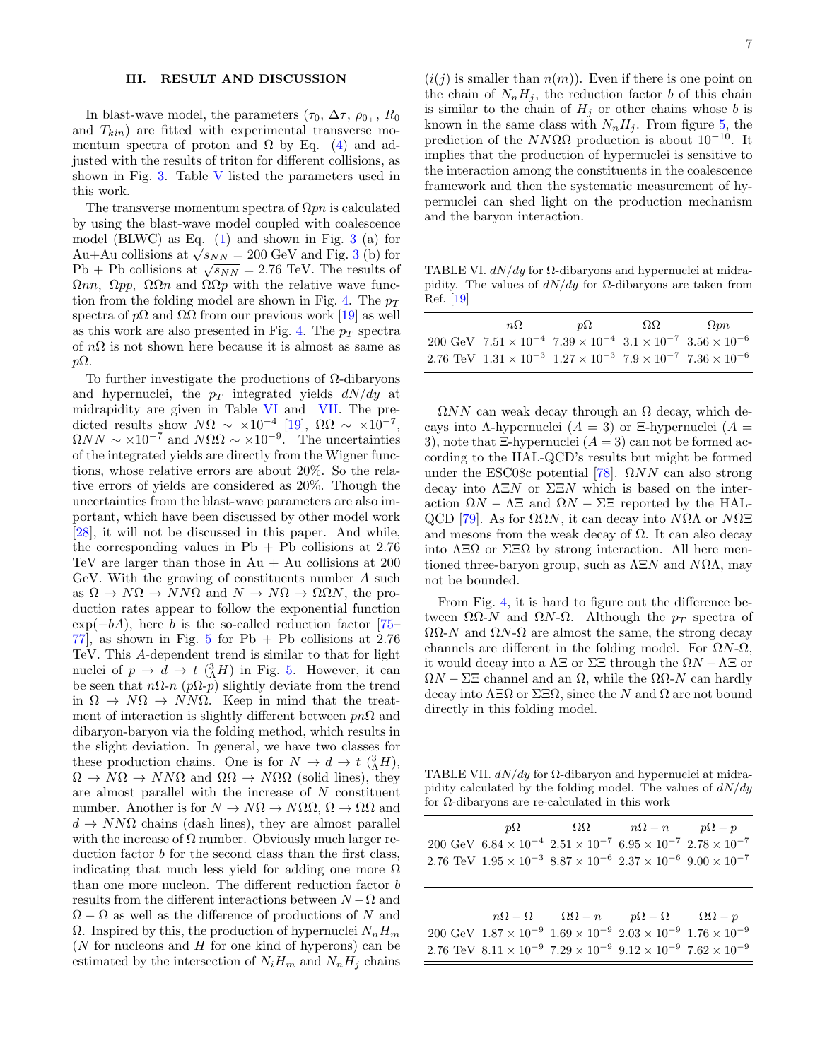# III. RESULT AND DISCUSSION

In blast-wave model, the parameters  $(\tau_0, \Delta \tau, \rho_{0_\perp}, R_0)$ and  $T_{kin}$ ) are fitted with experimental transverse momentum spectra of proton and  $\Omega$  by Eq. [\(4\)](#page-1-2) and adjusted with the results of triton for different collisions, as shown in Fig. [3.](#page-7-0) Table [V](#page-5-2) listed the parameters used in this work.

The transverse momentum spectra of  $\Omega pn$  is calculated by using the blast-wave model coupled with coalescence model (BLWC) as Eq.  $(1)$  and shown in Fig. [3](#page-7-0) (a) for moder (BLWC) as Eq. (1) and shown in Fig. [3](#page-7-0) (a) for  $Au+Au$  collisions at  $\sqrt{s_{NN}} = 200$  GeV and Fig. 3 (b) for Au+Au comsions at  $\sqrt{s_{NN}} = 200$  GeV and Fig. 5 (b) for<br>Pb + Pb collisions at  $\sqrt{s_{NN}} = 2.76$  TeV. The results of  $Ωnn, Ωpp, ΩΩn$  and  $ΩΩp$  with the relative wave func-tion from the folding model are shown in Fig. [4.](#page-7-1) The  $p_T$ spectra of  $p\Omega$  and  $\Omega\Omega$  from our previous work [\[19\]](#page-8-11) as well as this work are also presented in Fig. [4.](#page-7-1) The  $p_T$  spectra of  $n\Omega$  is not shown here because it is almost as same as  $p\Omega$ .

To further investigate the productions of Ω-dibaryons and hypernuclei, the  $p_T$  integrated yields  $dN/dy$  at midrapidity are given in Table [VI](#page-6-0) and [VII.](#page-6-1) The predicted results show  $N\Omega \sim \times 10^{-4}$  [\[19\]](#page-8-11),  $\Omega \Omega \sim \times 10^{-7}$ ,  $\Omega NN \sim \times 10^{-7}$  and  $N\Omega\Omega \sim \times 10^{-9}$ . The uncertainties of the integrated yields are directly from the Wigner functions, whose relative errors are about 20%. So the relative errors of yields are considered as 20%. Though the uncertainties from the blast-wave parameters are also important, which have been discussed by other model work [\[28\]](#page-8-19), it will not be discussed in this paper. And while, the corresponding values in  $Pb + Pb$  collisions at 2.76 TeV are larger than those in  $Au + Au$  collisions at 200 GeV. With the growing of constituents number A such as  $\Omega \to N\Omega \to NN\Omega$  and  $N \to N\Omega \to \Omega\Omega N$ , the production rates appear to follow the exponential function  $\exp(-bA)$ , here b is the so-called reduction factor [\[75–](#page-9-35) 77, as shown in Fig. [5](#page-8-23) for  $Pb + Pb$  collisions at 2.76 TeV. This A-dependent trend is similar to that for light nuclei of  $p \to d \to t \left(\Lambda^3 H\right)$  in Fig. [5.](#page-8-23) However, it can be seen that  $n\Omega$ -n (p $\Omega$ -p) slightly deviate from the trend in  $\Omega \to N\Omega \to NN\Omega$ . Keep in mind that the treatment of interaction is slightly different between  $p\eta\Omega$  and dibaryon-baryon via the folding method, which results in the slight deviation. In general, we have two classes for these production chains. One is for  $N \to d \to t \frac{3}{\Lambda} H$ ,  $\Omega \to N\Omega \to NN\Omega$  and  $\Omega\Omega \to N\Omega\Omega$  (solid lines), they are almost parallel with the increase of N constituent number. Another is for  $N \to N\Omega \to N\Omega \Omega$ ,  $\Omega \to \Omega \Omega$  and  $d \to N N \Omega$  chains (dash lines), they are almost parallel with the increase of  $\Omega$  number. Obviously much larger reduction factor b for the second class than the first class, indicating that much less yield for adding one more  $\Omega$ than one more nucleon. The different reduction factor b results from the different interactions between  $N - \Omega$  and  $\Omega - \Omega$  as well as the difference of productions of N and Ω. Inspired by this, the production of hypernuclei  $N_nH_m$ ( $N$  for nucleons and  $H$  for one kind of hyperons) can be estimated by the intersection of  $N_iH_m$  and  $N_nH_j$  chains

 $(i(j)$  is smaller than  $n(m)$ ). Even if there is one point on the chain of  $N_nH_i$ , the reduction factor b of this chain is similar to the chain of  $H_j$  or other chains whose b is known in the same class with  $N_nH_j$ . From figure [5,](#page-8-23) the prediction of the  $NN\Omega\Omega$  production is about 10<sup>-10</sup>. It implies that the production of hypernuclei is sensitive to the interaction among the constituents in the coalescence framework and then the systematic measurement of hypernuclei can shed light on the production mechanism and the baryon interaction.

<span id="page-6-0"></span>TABLE VI.  $dN/dy$  for  $\Omega$ -dibaryons and hypernuclei at midrapidity. The values of  $dN/dy$  for  $\Omega$ -dibaryons are taken from Ref. [\[19\]](#page-8-11)

| $n\Omega$                                                                                       | $n\Omega$ | $\Omega$ | $\Omega$ <i>pn</i> |
|-------------------------------------------------------------------------------------------------|-----------|----------|--------------------|
| 200 GeV $7.51 \times 10^{-4}$ $7.39 \times 10^{-4}$ $3.1 \times 10^{-7}$ $3.56 \times 10^{-6}$  |           |          |                    |
| 2.76 TeV $1.31 \times 10^{-3}$ $1.27 \times 10^{-3}$ $7.9 \times 10^{-7}$ $7.36 \times 10^{-6}$ |           |          |                    |

 $\Omega NN$  can weak decay through an  $\Omega$  decay, which decays into Λ-hypernuclei  $(A = 3)$  or Ξ-hypernuclei  $(A = 3)$ 3), note that  $\Xi$ -hypernuclei  $(A = 3)$  can not be formed according to the HAL-QCD's results but might be formed under the ESC08c potential [\[78\]](#page-9-37).  $\Omega NN$  can also strong decay into  $\Lambda \Xi N$  or  $\Sigma \Xi N$  which is based on the interaction  $\Omega N - \Lambda \Xi$  and  $\Omega N - \Sigma \Xi$  reported by the HAL-QCD [\[79\]](#page-9-38). As for  $\Omega \Omega N$ , it can decay into  $N\Omega \Lambda$  or  $N\Omega \Xi$ and mesons from the weak decay of  $\Omega$ . It can also decay into  $\Lambda \Xi \Omega$  or  $\Sigma \Xi \Omega$  by strong interaction. All here mentioned three-baryon group, such as  $\Lambda \Xi N$  and  $N\Omega\Lambda$ , may not be bounded.

From Fig. [4,](#page-7-1) it is hard to figure out the difference between  $ΩΩ$ -N and  $ΩN$ -Ω. Although the  $p_T$  spectra of  $\Omega \Omega$ -N and  $\Omega N$ - $\Omega$  are almost the same, the strong decay channels are different in the folding model. For  $\Omega N$ - $\Omega$ , it would decay into a  $\Lambda \Xi$  or  $\Sigma \Xi$  through the  $\Omega N - \Lambda \Xi$  or  $\Omega N - \Sigma \Xi$  channel and an  $\Omega$ , while the  $\Omega \Omega$ -N can hardly decay into  $\Lambda \Xi \Omega$  or  $\Sigma \Xi \Omega$ , since the N and  $\Omega$  are not bound directly in this folding model.

<span id="page-6-1"></span>TABLE VII.  $dN/dy$  for  $\Omega$ -dibaryon and hypernuclei at midrapidity calculated by the folding model. The values of  $dN/dy$ for Ω-dibaryons are re-calculated in this work

| $p\Omega$ $\Omega \Omega$ $n\Omega - n$ $p\Omega - p$<br>$200~{\rm GeV}~6.84\times 10^{-4}~2.51\times 10^{-7}~6.95\times 10^{-7}~2.78\times 10^{-7}$<br>$2.76 \text{ TeV}$ $1.95 \times 10^{-3}$ $8.87 \times 10^{-6}$ $2.37 \times 10^{-6}$ $9.00 \times 10^{-7}$ |                                                                                                                                                                                                                                                                                |
|--------------------------------------------------------------------------------------------------------------------------------------------------------------------------------------------------------------------------------------------------------------------|--------------------------------------------------------------------------------------------------------------------------------------------------------------------------------------------------------------------------------------------------------------------------------|
|                                                                                                                                                                                                                                                                    |                                                                                                                                                                                                                                                                                |
|                                                                                                                                                                                                                                                                    |                                                                                                                                                                                                                                                                                |
|                                                                                                                                                                                                                                                                    |                                                                                                                                                                                                                                                                                |
|                                                                                                                                                                                                                                                                    |                                                                                                                                                                                                                                                                                |
|                                                                                                                                                                                                                                                                    |                                                                                                                                                                                                                                                                                |
|                                                                                                                                                                                                                                                                    |                                                                                                                                                                                                                                                                                |
|                                                                                                                                                                                                                                                                    |                                                                                                                                                                                                                                                                                |
|                                                                                                                                                                                                                                                                    |                                                                                                                                                                                                                                                                                |
|                                                                                                                                                                                                                                                                    | $n\Omega - \Omega$ $\Omega\Omega - n$ $p\Omega - \Omega$ $\Omega\Omega - p$<br>$200~{\rm GeV}~1.87\times 10^{-9}~1.69\times 10^{-9}~2.03\times 10^{-9}~1.76\times 10^{-9}$<br>2.76 TeV $8.11 \times 10^{-9}$ $7.29 \times 10^{-9}$ $9.12 \times 10^{-9}$ $7.62 \times 10^{-9}$ |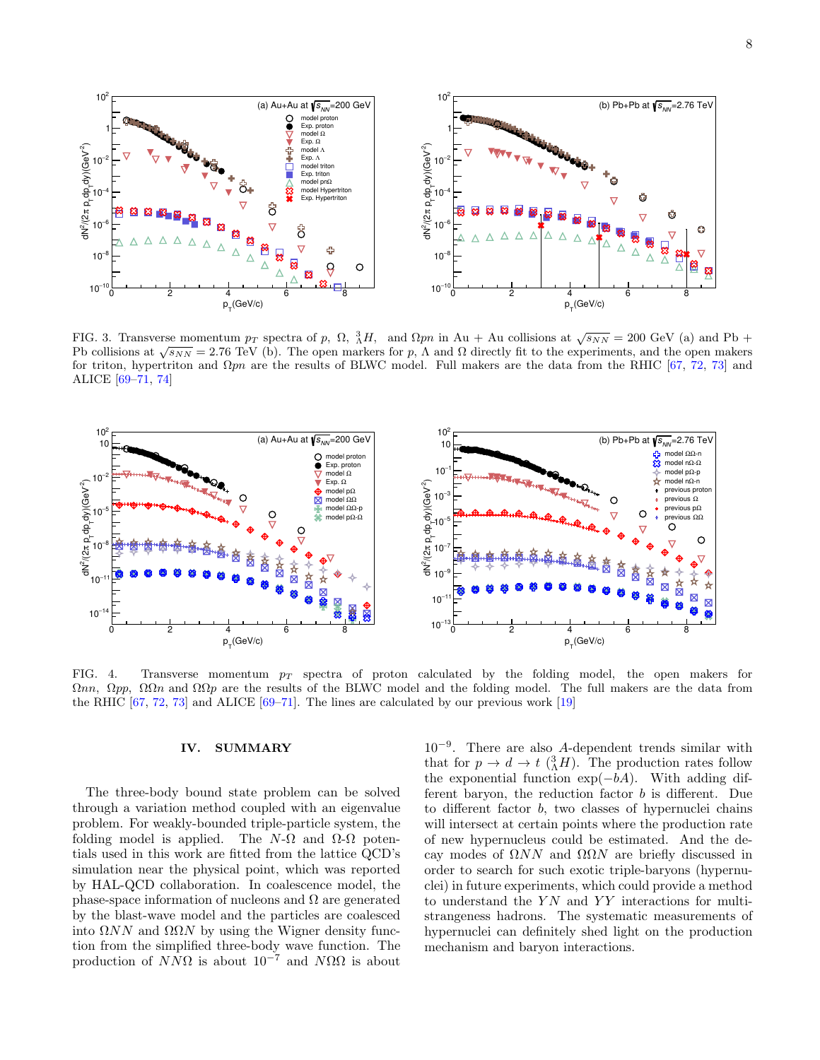

<span id="page-7-0"></span>FIG. 3. Transverse momentum  $p_T$  spectra of p,  $\Omega$ ,  ${}_{\Lambda}^{3}H$ , and  $\Omega pn$  in Au + Au collisions at  $\sqrt{s_{NN}}$  = 200 GeV (a) and Pb + **Ph collisions at**  $\sqrt{s_{NN}} = 2.76$  **TeV** (b). The open markers for p, Λ and Ω directly fit to the experiments, and the open makers for  $p$ , Λ and Ω directly fit to the experiments, and the open makers for triton, hypertriton and  $\Omega pn$  are the results of BLWC model. Full makers are the data from the RHIC [\[67,](#page-9-31) [72,](#page-9-39) [73\]](#page-9-40) and ALICE [\[69](#page-9-33)[–71,](#page-9-34) [74\]](#page-9-41)



<span id="page-7-1"></span>FIG. 4. Transverse momentum  $p_T$  spectra of proton calculated by the folding model, the open makers for  $\Omega$ nn,  $\Omega$ pp,  $\Omega\Omega$ n and  $\Omega\Omega$ p are the results of the BLWC model and the folding model. The full makers are the data from the RHIC  $[67, 72, 73]$  $[67, 72, 73]$  $[67, 72, 73]$  $[67, 72, 73]$  $[67, 72, 73]$  and ALICE  $[69–71]$  $[69–71]$ . The lines are calculated by our previous work  $[19]$ 

# IV. SUMMARY

The three-body bound state problem can be solved through a variation method coupled with an eigenvalue problem. For weakly-bounded triple-particle system, the folding model is applied. The  $N-\Omega$  and  $\Omega-\Omega$  potentials used in this work are fitted from the lattice QCD's simulation near the physical point, which was reported by HAL-QCD collaboration. In coalescence model, the phase-space information of nucleons and  $\Omega$  are generated by the blast-wave model and the particles are coalesced into  $\Omega NN$  and  $\Omega\Omega N$  by using the Wigner density function from the simplified three-body wave function. The production of  $N\overline{N\Omega}$  is about  $10^{-7}$  and  $N\Omega\Omega$  is about

10<sup>−</sup><sup>9</sup> . There are also A-dependent trends similar with that for  $p \to d \to t \left(\Lambda^3 H\right)$ . The production rates follow the exponential function  $exp(-bA)$ . With adding different baryon, the reduction factor  $b$  is different. Due to different factor b, two classes of hypernuclei chains will intersect at certain points where the production rate of new hypernucleus could be estimated. And the decay modes of ΩNN and ΩΩN are briefly discussed in order to search for such exotic triple-baryons (hypernuclei) in future experiments, which could provide a method to understand the  $YN$  and  $YY$  interactions for multistrangeness hadrons. The systematic measurements of hypernuclei can definitely shed light on the production mechanism and baryon interactions.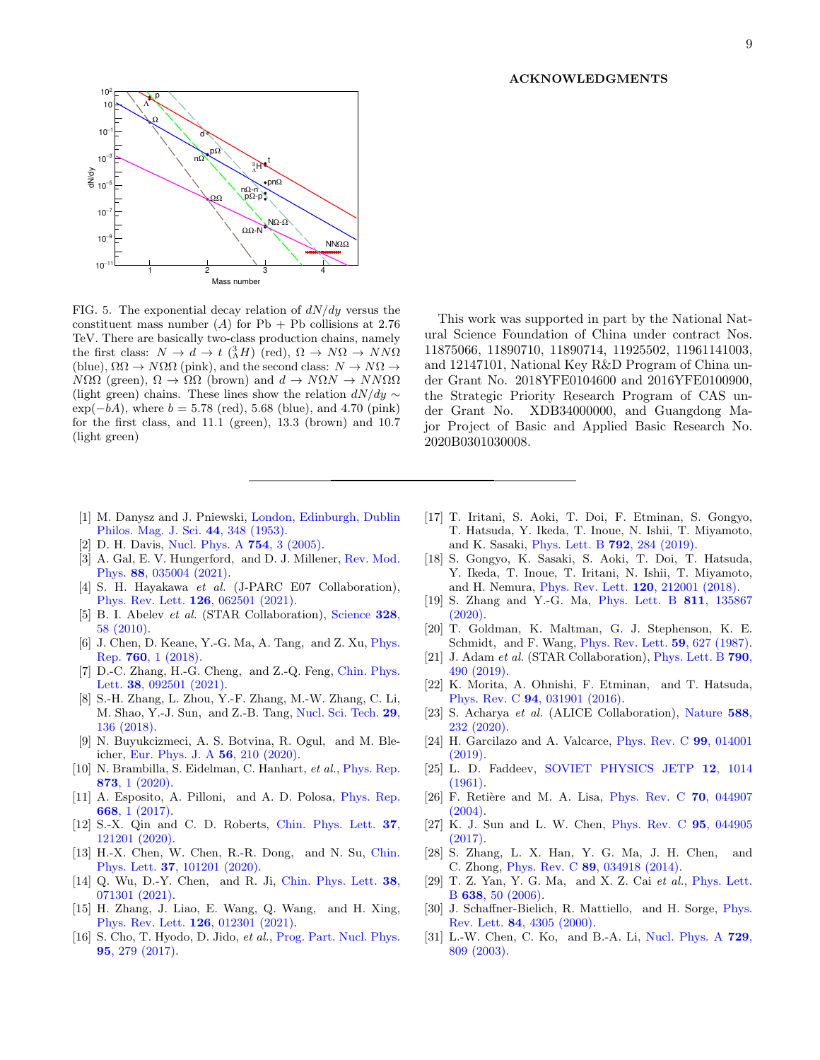### ACKNOWLEDGMENTS



<span id="page-8-23"></span>FIG. 5. The exponential decay relation of  $dN/dy$  versus the constituent mass number  $(A)$  for Pb + Pb collisions at 2.76 TeV. There are basically two-class production chains, namely the first class:  $N \to d \to t \frac{3}{\Lambda} H$  (red),  $\Omega \to N\Omega \to NN\Omega$ (blue),  $\Omega\Omega \to N\Omega\Omega$  (pink), and the second class:  $N \to N\Omega \to$  $N\Omega\Omega$  (green),  $\Omega \to \Omega\Omega$  (brown) and  $d \to N\Omega N \to NN\Omega\Omega$ (light green) chains. These lines show the relation  $dN/dy \sim$  $\exp(-bA)$ , where  $b = 5.78$  (red), 5.68 (blue), and 4.70 (pink) for the first class, and 11.1 (green), 13.3 (brown) and 10.7 (light green)

- This work was supported in part by the National Natural Science Foundation of China under contract Nos. 11875066, 11890710, 11890714, 11925502, 11961141003, and 12147101, National Key R&D Program of China under Grant No. 2018YFE0104600 and 2016YFE0100900, the Strategic Priority Research Program of CAS under Grant No. XDB34000000, and Guangdong Major Project of Basic and Applied Basic Research No. 2020B0301030008.
- <span id="page-8-0"></span>[1] M. Danysz and J. Pniewski, [London, Edinburgh, Dublin](http://dx.doi.org/10.1080/14786440308520318) [Philos. Mag. J. Sci.](http://dx.doi.org/10.1080/14786440308520318) 44, 348 (1953).
- <span id="page-8-1"></span>[2] D. H. Davis, [Nucl. Phys. A](http://dx.doi.org/https://doi.org/10.1016/j.nuclphysa.2005.01.002) 754, 3 (2005).
- <span id="page-8-2"></span>[3] A. Gal, E. V. Hungerford, and D. J. Millener, [Rev. Mod.](http://dx.doi.org/10.1103/RevModPhys.88.035004) Phys. 88[, 035004 \(2021\).](http://dx.doi.org/10.1103/RevModPhys.88.035004)
- <span id="page-8-3"></span>[4] S. H. Hayakawa et al. (J-PARC E07 Collaboration), [Phys. Rev. Lett.](http://dx.doi.org/10.1103/PhysRevLett.126.062501) 126, 062501 (2021).
- <span id="page-8-4"></span>[5] B. I. Abelev et al. (STAR Collaboration), [Science](http://dx.doi.org/10.1126/science.1183980) 328, [58 \(2010\).](http://dx.doi.org/10.1126/science.1183980)
- [6] J. Chen, D. Keane, Y.-G. Ma, A. Tang, and Z. Xu, *[Phys.](http://dx.doi.org/ 10.1016/j.physrep.2018.07.002)* Rep. 760[, 1 \(2018\).](http://dx.doi.org/ 10.1016/j.physrep.2018.07.002)
- [7] D.-C. Zhang, H.-G. Cheng, and Z.-Q. Feng, [Chin. Phys.](http://dx.doi.org/10.1088/0256-307X/38/9/092501) Lett. 38[, 092501 \(2021\).](http://dx.doi.org/10.1088/0256-307X/38/9/092501)
- <span id="page-8-5"></span>[8] S.-H. Zhang, L. Zhou, Y.-F. Zhang, M.-W. Zhang, C. Li, M. Shao, Y.-J. Sun, and Z.-B. Tang, [Nucl. Sci. Tech.](http://dx.doi.org/10.1007/s41365-018-0469-y) 29, [136 \(2018\).](http://dx.doi.org/10.1007/s41365-018-0469-y)
- <span id="page-8-6"></span>[9] N. Buyukcizmeci, A. S. Botvina, R. Ogul, and M. Bleicher, [Eur. Phys. J. A](http://dx.doi.org/10.1140/epja/s10050-020-00217-6) 56, 210 (2020).
- <span id="page-8-7"></span>[10] N. Brambilla, S. Eidelman, C. Hanhart, et al., [Phys. Rep.](http://dx.doi.org/10.1016/j.physrep.2020.05.001) 873[, 1 \(2020\).](http://dx.doi.org/10.1016/j.physrep.2020.05.001)
- [11] A. Esposito, A. Pilloni, and A. D. Polosa, [Phys. Rep.](http://dx.doi.org/10.1016/j.physrep.2016.11.002) 668[, 1 \(2017\).](http://dx.doi.org/10.1016/j.physrep.2016.11.002)
- [12] S.-X. Qin and C. D. Roberts, [Chin. Phys. Lett.](http://dx.doi.org/10.1088/0256-307X/37/12/121201) 37, [121201 \(2020\).](http://dx.doi.org/10.1088/0256-307X/37/12/121201)
- [13] H.-X. Chen, W. Chen, R.-R. Dong, and N. Su, [Chin.](http://dx.doi.org/ 10.1088/0256-307X/37/10/101201) Phys. Lett. 37[, 101201 \(2020\).](http://dx.doi.org/ 10.1088/0256-307X/37/10/101201)
- [14] Q. Wu, D.-Y. Chen, and R. Ji, [Chin. Phys. Lett.](http://dx.doi.org/ 10.1088/0256-307X/38/7/071301) 38, [071301 \(2021\).](http://dx.doi.org/ 10.1088/0256-307X/38/7/071301)
- [15] H. Zhang, J. Liao, E. Wang, Q. Wang, and H. Xing, [Phys. Rev. Lett.](http://dx.doi.org/ 10.1103/PhysRevLett.126.012301) 126, 012301 (2021).
- <span id="page-8-8"></span>[16] S. Cho, T. Hyodo, D. Jido, et al., [Prog. Part. Nucl. Phys.](http://dx.doi.org/10.1016/j.ppnp.2017.02.002) 95[, 279 \(2017\).](http://dx.doi.org/10.1016/j.ppnp.2017.02.002)
- <span id="page-8-9"></span>[17] T. Iritani, S. Aoki, T. Doi, F. Etminan, S. Gongyo, T. Hatsuda, Y. Ikeda, T. Inoue, N. Ishii, T. Miyamoto, and K. Sasaki, [Phys. Lett. B](http://dx.doi.org/ 10.1016/j.physletb.2019.03.050) 792, 284 (2019).
- <span id="page-8-10"></span>[18] S. Gongyo, K. Sasaki, S. Aoki, T. Doi, T. Hatsuda, Y. Ikeda, T. Inoue, T. Iritani, N. Ishii, T. Miyamoto, and H. Nemura, [Phys. Rev. Lett.](http://dx.doi.org/ 10.1103/PhysRevLett.120.212001) 120, 212001 (2018).
- <span id="page-8-11"></span>[19] S. Zhang and Y.-G. Ma, [Phys. Lett. B](http://dx.doi.org/10.1016/j.physletb.2020.135867) 811, 135867 [\(2020\).](http://dx.doi.org/10.1016/j.physletb.2020.135867)
- <span id="page-8-12"></span>[20] T. Goldman, K. Maltman, G. J. Stephenson, K. E. Schmidt, and F. Wang, [Phys. Rev. Lett.](http://dx.doi.org/ 10.1103/PhysRevLett.59.627) 59, 627 (1987).
- <span id="page-8-13"></span>[21] J. Adam et al. (STAR Collaboration), [Phys. Lett. B](http://dx.doi.org/https://doi.org/10.1016/j.physletb.2019.01.055) 790, [490 \(2019\).](http://dx.doi.org/https://doi.org/10.1016/j.physletb.2019.01.055)
- <span id="page-8-14"></span>[22] K. Morita, A. Ohnishi, F. Etminan, and T. Hatsuda, Phys. Rev. C 94[, 031901 \(2016\).](http://dx.doi.org/10.1103/PhysRevC.94.031901)
- <span id="page-8-15"></span>[23] S. Acharya et al. (ALICE Collaboration), [Nature](http://dx.doi.org/10.1038/s41586-020-3001-6) 588, [232 \(2020\).](http://dx.doi.org/10.1038/s41586-020-3001-6)
- <span id="page-8-16"></span>[24] H. Garcilazo and A. Valcarce, [Phys. Rev. C](http://dx.doi.org/10.1103/PhysRevC.99.014001) 99, 014001 [\(2019\).](http://dx.doi.org/10.1103/PhysRevC.99.014001)
- <span id="page-8-17"></span>[25] L. D. Faddeev, [SOVIET PHYSICS JETP](http://www.jetp.ac.ru/cgi-bin/dn/e_012_05_1014.pdf) 12, 1014 [\(1961\).](http://www.jetp.ac.ru/cgi-bin/dn/e_012_05_1014.pdf)
- <span id="page-8-18"></span>[26] F. Retière and M. A. Lisa, [Phys. Rev. C](http://dx.doi.org/10.1103/PhysRevC.70.044907) 70, 044907 [\(2004\).](http://dx.doi.org/10.1103/PhysRevC.70.044907)
- <span id="page-8-20"></span>[27] K. J. Sun and L. W. Chen, [Phys. Rev. C](http://dx.doi.org/10.1103/PhysRevC.95.044905) 95, 044905 [\(2017\).](http://dx.doi.org/10.1103/PhysRevC.95.044905)
- <span id="page-8-19"></span>[28] S. Zhang, L. X. Han, Y. G. Ma, J. H. Chen, and C. Zhong, Phys. Rev. C 89[, 034918 \(2014\).](http://dx.doi.org/ 10.1103/PhysRevC.89.034918)
- <span id="page-8-21"></span>[29] T. Z. Yan, Y. G. Ma, and X. Z. Cai et al., [Phys. Lett.](http://dx.doi.org/10.1016/j.physletb.2006.05.018) B 638[, 50 \(2006\).](http://dx.doi.org/10.1016/j.physletb.2006.05.018)
- [30] J. Schaffner-Bielich, R. Mattiello, and H. Sorge, [Phys.](http://dx.doi.org/10.1103/PhysRevLett.84.4305) Rev. Lett. 84[, 4305 \(2000\).](http://dx.doi.org/10.1103/PhysRevLett.84.4305)
- <span id="page-8-22"></span>[31] L.-W. Chen, C. Ko, and B.-A. Li, [Nucl. Phys. A](http://dx.doi.org/10.1016/j.nuclphysa.2003.09.010) 729, [809 \(2003\).](http://dx.doi.org/10.1016/j.nuclphysa.2003.09.010)